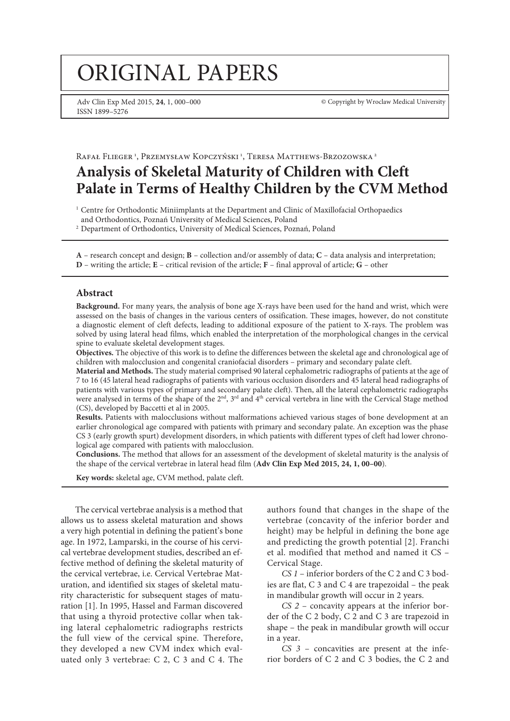# ORIGINAL PAPERS

Adv Clin Exp Med 2015, **24**, 1, 000–000 ISSN 1899–5276

© Copyright by Wroclaw Medical University

RAFAŁ FLIEGER<sup>1</sup>, PRZEMYSŁAW KOPCZYŃSKI<sup>1</sup>, TERESA MATTHEWS-BRZOZOWSKA<sup>2</sup>

## **Analysis of Skeletal Maturity of Children with Cleft Palate in Terms of Healthy Children by the CVM Method**

<sup>1</sup> Centre for Orthodontic Miniimplants at the Department and Clinic of Maxillofacial Orthopaedics and Orthodontics, Poznań University of Medical Sciences, Poland <sup>2</sup> Department of Orthodontics, University of Medical Sciences, Poznań, Poland

**A** – research concept and design; **B** – collection and/or assembly of data; **C** – data analysis and interpretation; **D** – writing the article; **E** – critical revision of the article; **F** – final approval of article; **G** – other

#### **Abstract**

**Background.** For many years, the analysis of bone age X-rays have been used for the hand and wrist, which were assessed on the basis of changes in the various centers of ossification. These images, however, do not constitute a diagnostic element of cleft defects, leading to additional exposure of the patient to X-rays. The problem was solved by using lateral head films, which enabled the interpretation of the morphological changes in the cervical spine to evaluate skeletal development stages.

**Objectives.** The objective of this work is to define the differences between the skeletal age and chronological age of children with malocclusion and congenital craniofacial disorders – primary and secondary palate cleft.

**Material and Methods.** The study material comprised 90 lateral cephalometric radiographs of patients at the age of 7 to 16 (45 lateral head radiographs of patients with various occlusion disorders and 45 lateral head radiographs of patients with various types of primary and secondary palate cleft). Then, all the lateral cephalometric radiographs were analysed in terms of the shape of the  $2<sup>nd</sup>$ ,  $3<sup>rd</sup>$  and  $4<sup>th</sup>$  cervical vertebra in line with the Cervical Stage method (CS), developed by Baccetti et al in 2005.

**Results.** Patients with malocclusions without malformations achieved various stages of bone development at an earlier chronological age compared with patients with primary and secondary palate. An exception was the phase CS 3 (early growth spurt) development disorders, in which patients with different types of cleft had lower chronological age compared with patients with malocclusion.

**Conclusions.** The method that allows for an assessment of the development of skeletal maturity is the analysis of the shape of the cervical vertebrae in lateral head film (**Adv Clin Exp Med 2015, 24, 1, 00–00**).

**Key words:** skeletal age, CVM method, palate cleft.

The cervical vertebrae analysis is a method that allows us to assess skeletal maturation and shows a very high potential in defining the patient's bone age. In 1972, Lamparski, in the course of his cervical vertebrae development studies, described an effective method of defining the skeletal maturity of the cervical vertebrae, i.e. Cervical Vertebrae Maturation, and identified six stages of skeletal maturity characteristic for subsequent stages of maturation [1]. In 1995, Hassel and Farman discovered that using a thyroid protective collar when taking lateral cephalometric radiographs restricts the full view of the cervical spine. Therefore, they developed a new CVM index which evaluated only 3 vertebrae: C 2, C 3 and C 4. The authors found that changes in the shape of the vertebrae (concavity of the inferior border and height) may be helpful in defining the bone age and predicting the growth potential [2]. Franchi et al. modified that method and named it CS – Cervical Stage.

*CS 1* – inferior borders of the C 2 and C 3 bodies are flat, C 3 and C 4 are trapezoidal – the peak in mandibular growth will occur in 2 years.

*CS 2* – concavity appears at the inferior border of the C 2 body, C 2 and C 3 are trapezoid in shape – the peak in mandibular growth will occur in a year.

*CS 3* – concavities are present at the inferior borders of C 2 and C 3 bodies, the C 2 and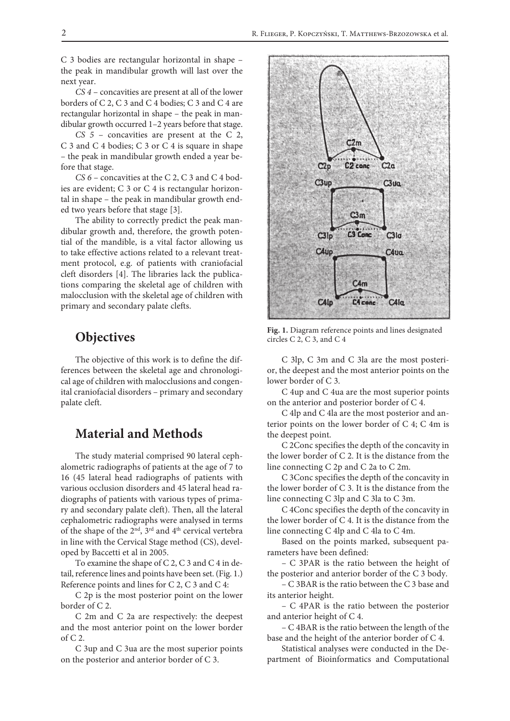C 3 bodies are rectangular horizontal in shape – the peak in mandibular growth will last over the next year.

*CS 4* – concavities are present at all of the lower borders of C 2, C 3 and C 4 bodies; C 3 and C 4 are rectangular horizontal in shape – the peak in mandibular growth occurred 1–2 years before that stage.

*CS 5* – concavities are present at the C 2, C 3 and C 4 bodies; C 3 or C 4 is square in shape – the peak in mandibular growth ended a year before that stage.

*CS 6* – concavities at the C 2, C 3 and C 4 bodies are evident; C 3 or C 4 is rectangular horizontal in shape – the peak in mandibular growth ended two years before that stage [3].

The ability to correctly predict the peak mandibular growth and, therefore, the growth potential of the mandible, is a vital factor allowing us to take effective actions related to a relevant treatment protocol, e.g. of patients with craniofacial cleft disorders [4]. The libraries lack the publications comparing the skeletal age of children with malocclusion with the skeletal age of children with primary and secondary palate clefts.

### **Objectives**

The objective of this work is to define the differences between the skeletal age and chronological age of children with malocclusions and congenital craniofacial disorders – primary and secondary palate cleft.

## **Material and Methods**

The study material comprised 90 lateral cephalometric radiographs of patients at the age of 7 to 16 (45 lateral head radiographs of patients with various occlusion disorders and 45 lateral head radiographs of patients with various types of primary and secondary palate cleft). Then, all the lateral cephalometric radiographs were analysed in terms of the shape of the 2nd, 3rd and 4th cervical vertebra in line with the Cervical Stage method (CS), developed by Baccetti et al in 2005.

To examine the shape of C 2, C 3 and C 4 in detail, reference lines and points have been set. (Fig. 1.) Reference points and lines for C 2, C 3 and C 4:

C 2p is the most posterior point on the lower border of C 2.

C 2m and C 2a are respectively: the deepest and the most anterior point on the lower border of C 2.

C 3up and C 3ua are the most superior points on the posterior and anterior border of C 3.



**Fig. 1.** Diagram reference points and lines designated circles C 2, C 3, and C 4

C 3lp, C 3m and C 3la are the most posterior, the deepest and the most anterior points on the lower border of C 3.

C 4up and C 4ua are the most superior points on the anterior and posterior border of C 4.

C 4lp and C 4la are the most posterior and anterior points on the lower border of C 4; C 4m is the deepest point.

C 2Conc specifies the depth of the concavity in the lower border of C 2. It is the distance from the line connecting C 2p and C 2a to C 2m.

C 3Conc specifies the depth of the concavity in the lower border of C 3. It is the distance from the line connecting C 3lp and C 3la to C 3m.

C 4Conc specifies the depth of the concavity in the lower border of C 4. It is the distance from the line connecting C 4lp and C 4la to C 4m.

Based on the points marked, subsequent parameters have been defined:

– C 3PAR is the ratio between the height of the posterior and anterior border of the C 3 body.

– C 3BAR is the ratio between the C 3 base and its anterior height.

– C 4PAR is the ratio between the posterior and anterior height of C 4.

– C 4BAR is the ratio between the length of the base and the height of the anterior border of C 4.

Statistical analyses were conducted in the Department of Bioinformatics and Computational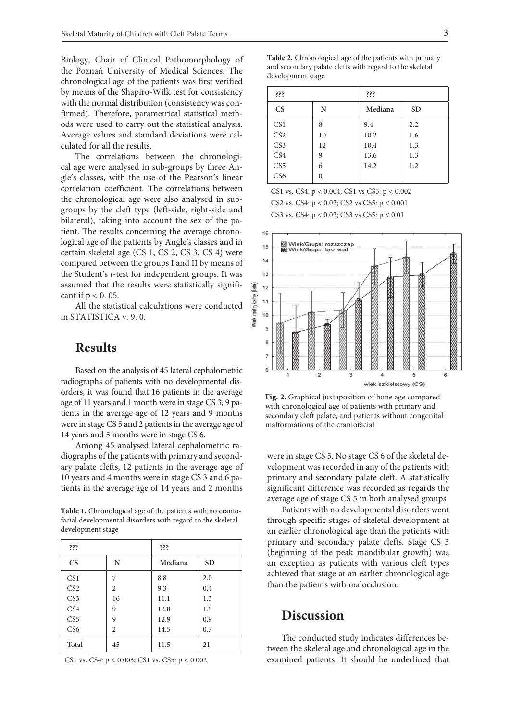Biology, Chair of Clinical Pathomorphology of the Poznań University of Medical Sciences. The chronological age of the patients was first verified by means of the Shapiro-Wilk test for consistency with the normal distribution (consistency was confirmed). Therefore, parametrical statistical methods were used to carry out the statistical analysis. Average values and standard deviations were calculated for all the results.

The correlations between the chronological age were analysed in sub-groups by three Angle's classes, with the use of the Pearson's linear correlation coefficient. The correlations between the chronological age were also analysed in subgroups by the cleft type (left-side, right-side and bilateral), taking into account the sex of the patient. The results concerning the average chronological age of the patients by Angle's classes and in certain skeletal age (CS 1, CS 2, CS 3, CS 4) were compared between the groups I and II by means of the Student's *t*-test for independent groups. It was assumed that the results were statistically significant if  $p < 0$ . 05.

All the statistical calculations were conducted in STATISTICA v. 9. 0.

### **Results**

Based on the analysis of 45 lateral cephalometric radiographs of patients with no developmental disorders, it was found that 16 patients in the average age of 11 years and 1 month were in stage CS 3, 9 patients in the average age of 12 years and 9 months were in stage CS 5 and 2 patients in the average age of 14 years and 5 months were in stage CS 6.

Among 45 analysed lateral cephalometric radiographs of the patients with primary and secondary palate clefts, 12 patients in the average age of 10 years and 4 months were in stage CS 3 and 6 patients in the average age of 14 years and 2 months

**Table 1.** Chronological age of the patients with no craniofacial developmental disorders with regard to the skeletal development stage

| 335                    |    | 335     |           |  |
|------------------------|----|---------|-----------|--|
| $\mathbf{C}\mathbf{S}$ | N  | Mediana | <b>SD</b> |  |
| CS <sub>1</sub>        | 7  | 8.8     | 2.0       |  |
| CS <sub>2</sub>        | 2  | 9.3     | 0.4       |  |
| CS <sub>3</sub>        | 16 | 11.1    | 1.3       |  |
| CS <sub>4</sub>        | 9  | 12.8    | 1.5       |  |
| CS <sub>5</sub>        | 9  | 12.9    | 0.9       |  |
| CS <sub>6</sub>        | 2  | 14.5    | 0.7       |  |
| Total                  | 45 | 11.5    | 21        |  |

CS1 vs. CS4: p < 0.003; CS1 vs. CS5: p < 0.002

**Table 2.** Chronological age of the patients with primary and secondary palate clefts with regard to the skeletal development stage

| 335                    |    | \$\$\$  |           |
|------------------------|----|---------|-----------|
| $\overline{\text{CS}}$ | N  | Mediana | <b>SD</b> |
| CS <sub>1</sub>        | 8  | 9.4     | 2.2       |
| CS <sub>2</sub>        | 10 | 10.2    | 1.6       |
| CS <sub>3</sub>        | 12 | 10.4    | 1.3       |
| CS4                    | 9  | 13.6    | 1.3       |
| CS <sub>5</sub>        | 6  | 14.2    | 1.2       |
| CS <sub>6</sub>        | 0  |         |           |

CS1 vs. CS4: p < 0.004; CS1 vs CS5: p < 0.002 CS2 vs. CS4: p < 0.02; CS2 vs CS5: p < 0.001 CS3 vs. CS4: p < 0.02; CS3 vs CS5: p < 0.01



**Fig. 2.** Graphical juxtaposition of bone age compared with chronological age of patients with primary and secondary cleft palate, and patients without congenital malformations of the craniofacial

were in stage CS 5. No stage CS 6 of the skeletal development was recorded in any of the patients with primary and secondary palate cleft. A statistically significant difference was recorded as regards the average age of stage CS 5 in both analysed groups

Patients with no developmental disorders went through specific stages of skeletal development at an earlier chronological age than the patients with primary and secondary palate clefts. Stage CS 3 (beginning of the peak mandibular growth) was an exception as patients with various cleft types achieved that stage at an earlier chronological age than the patients with malocclusion.

## **Discussion**

The conducted study indicates differences between the skeletal age and chronological age in the examined patients. It should be underlined that